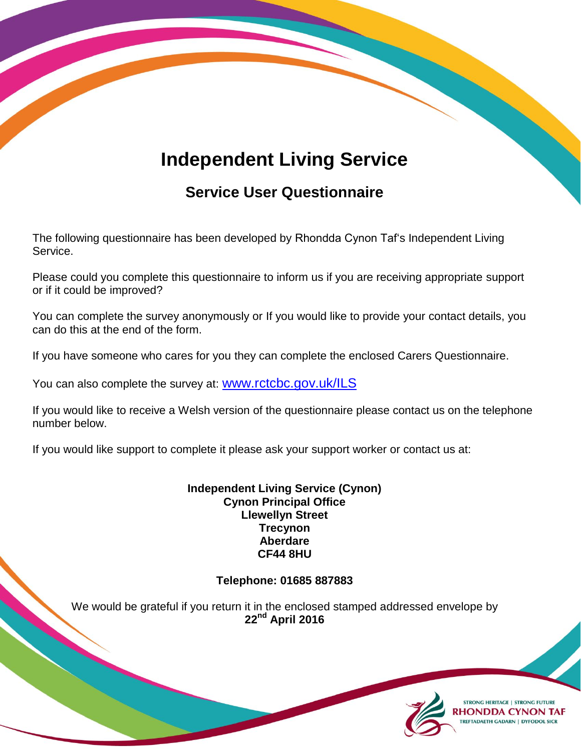## **Independent Living Service**

## **Service User Questionnaire**

The following questionnaire has been developed by Rhondda Cynon Taf's Independent Living Service.

Please could you complete this questionnaire to inform us if you are receiving appropriate support or if it could be improved?

You can complete the survey anonymously or If you would like to provide your contact details, you can do this at the end of the form.

If you have someone who cares for you they can complete the enclosed Carers Questionnaire.

You can also complete the survey at: [www.rctcbc.gov.uk/ILS](http://www.rctcbc.gov.uk/ILS)

If you would like to receive a Welsh version of the questionnaire please contact us on the telephone number below.

If you would like support to complete it please ask your support worker or contact us at:

**Independent Living Service (Cynon) Cynon Principal Office Llewellyn Street Trecynon Aberdare CF44 8HU**

## **Telephone: 01685 887883**

We would be grateful if you return it in the enclosed stamped addressed envelope by **22 nd April 2016**



**STRONG HERITAGE | STRONG FUTURE HONDDA CYNON TAF TREFTADAETH GADARN | DYFODOL SICR**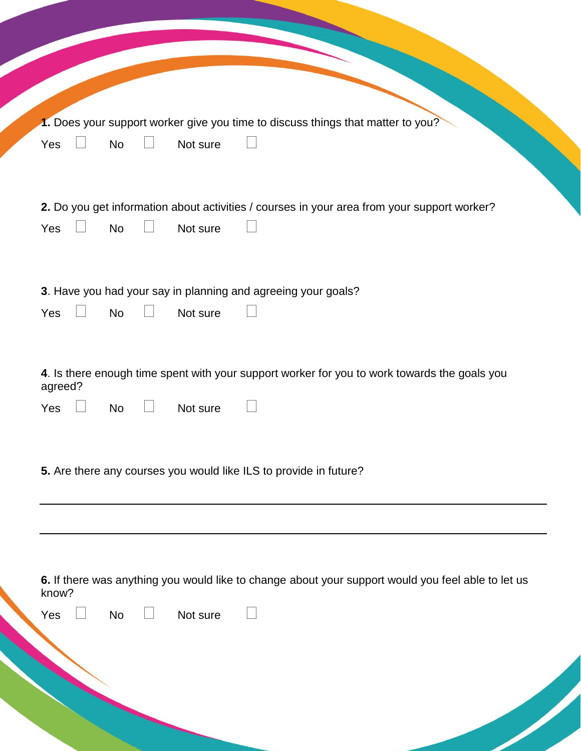| Yes     | <b>No</b> | Not sure | 1. Does your support worker give you time to discuss things that matter to you?                    |
|---------|-----------|----------|----------------------------------------------------------------------------------------------------|
|         |           |          |                                                                                                    |
| Yes     | <b>No</b> | Not sure | 2. Do you get information about activities / courses in your area from your support worker?        |
|         |           |          |                                                                                                    |
|         |           |          |                                                                                                    |
|         |           |          | 3. Have you had your say in planning and agreeing your goals?                                      |
| Yes     | <b>No</b> | Not sure |                                                                                                    |
|         |           |          |                                                                                                    |
| agreed? |           |          | 4. Is there enough time spent with your support worker for you to work towards the goals you       |
| Yes     | <b>No</b> | Not sure |                                                                                                    |
|         |           |          |                                                                                                    |
|         |           |          |                                                                                                    |
|         |           |          | 5. Are there any courses you would like ILS to provide in future?                                  |
|         |           |          |                                                                                                    |
|         |           |          |                                                                                                    |
|         |           |          |                                                                                                    |
| know?   |           |          | 6. If there was anything you would like to change about your support would you feel able to let us |
| Yes     | <b>No</b> | Not sure |                                                                                                    |
|         |           |          |                                                                                                    |
|         |           |          |                                                                                                    |